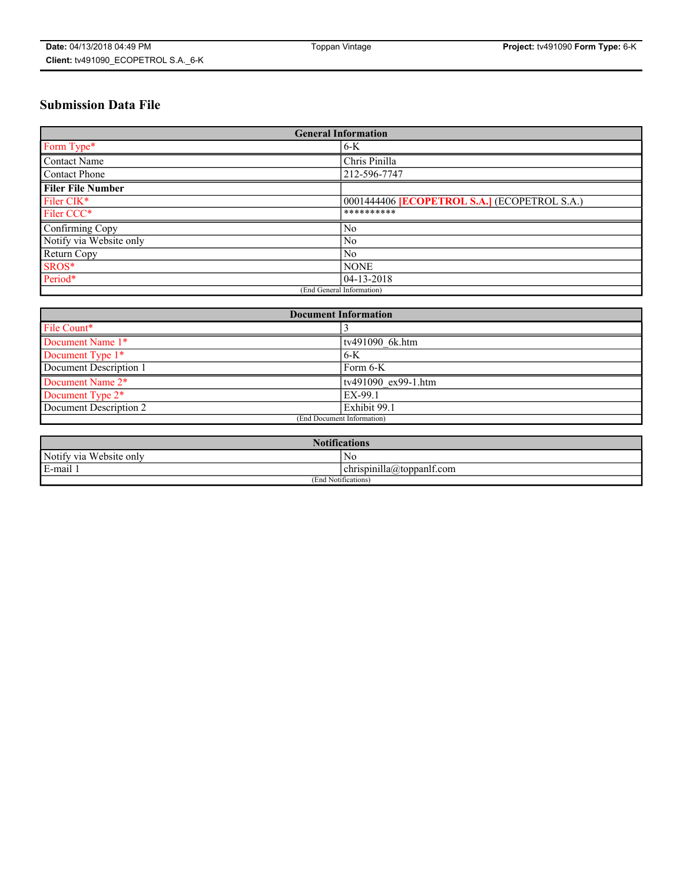# **Submission Data File**

| <b>General Information</b> |                                                     |
|----------------------------|-----------------------------------------------------|
| Form Type*                 | $6-K$                                               |
| Contact Name               | Chris Pinilla                                       |
| Contact Phone              | 212-596-7747                                        |
| <b>Filer File Number</b>   |                                                     |
| Filer CIK*                 | 0001444406 <b>[ECOPETROL S.A.]</b> (ECOPETROL S.A.) |
| Filer CCC*                 | **********                                          |
| Confirming Copy            | N <sub>0</sub>                                      |
| Notify via Website only    | N <sub>0</sub>                                      |
| Return Copy                | N <sub>0</sub>                                      |
| SROS*                      | <b>NONE</b>                                         |
| Period*                    | 04-13-2018                                          |
| (End General Information)  |                                                     |

| <b>Document Information</b>  |                     |
|------------------------------|---------------------|
| File Count*                  |                     |
| Document Name 1*             | tv491090 6k.htm     |
| Document Type 1*             | $6-K$               |
| Document Description 1       | Form 6-K            |
| Document Name 2 <sup>*</sup> | tv491090 ex99-1.htm |
| Document Type 2*             | EX-99.1             |
| Document Description 2       | Exhibit 99.1        |
| (End Document Information)   |                     |

| <b>Notifications</b>       |                                 |  |
|----------------------------|---------------------------------|--|
| Notify via<br>Website only | N <sub>0</sub>                  |  |
| $E$ -mail 1                | <br>chrispinilla(a)toppanif.com |  |
| (End Notifications)        |                                 |  |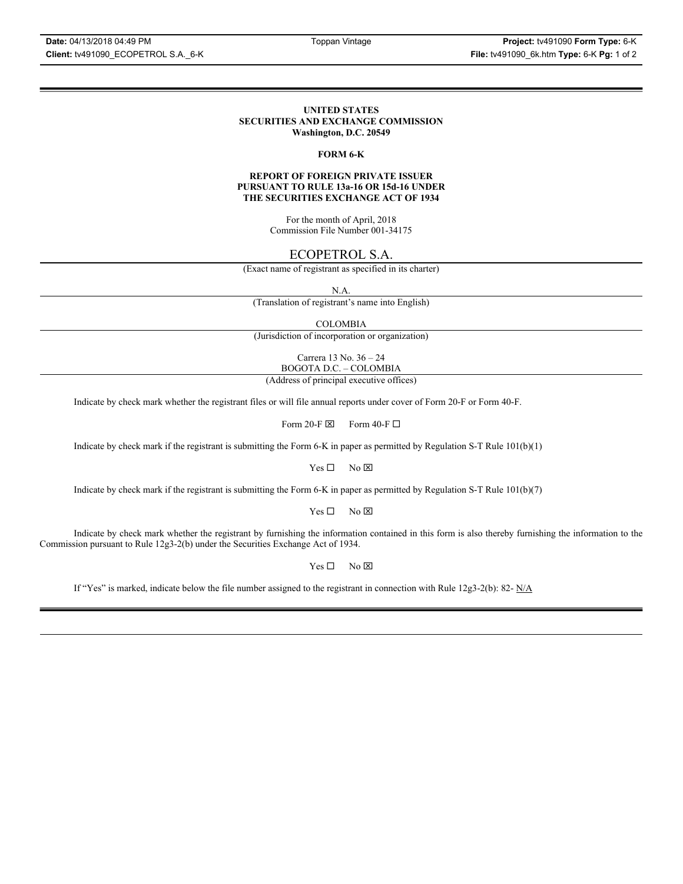### **UNITED STATES SECURITIES AND EXCHANGE COMMISSION Washington, D.C. 20549**

### **FORM 6-K**

### **REPORT OF FOREIGN PRIVATE ISSUER PURSUANT TO RULE 13a-16 OR 15d-16 UNDER THE SECURITIES EXCHANGE ACT OF 1934**

For the month of April, 2018 Commission File Number 001-34175

## ECOPETROL S.A.

(Exact name of registrant as specified in its charter)

N.A.

(Translation of registrant's name into English)

COLOMBIA

(Jurisdiction of incorporation or organization)

Carrera 13 No. 36 – 24 BOGOTA D.C. – COLOMBIA

(Address of principal executive offices)

Indicate by check mark whether the registrant files or will file annual reports under cover of Form 20-F or Form 40-F.

Form 20-F  $\boxtimes$  Form 40-F  $\Box$ 

Indicate by check mark if the registrant is submitting the Form 6-K in paper as permitted by Regulation S-T Rule 101(b)(1)

 $Yes \Box$  No  $\boxtimes$ 

Indicate by check mark if the registrant is submitting the Form 6-K in paper as permitted by Regulation S-T Rule 101(b)(7)

 $Yes \Box$  No  $\boxtimes$ 

Indicate by check mark whether the registrant by furnishing the information contained in this form is also thereby furnishing the information to the Commission pursuant to Rule 12g3-2(b) under the Securities Exchange Act of 1934.

 $Yes \Box$  No  $\boxtimes$ 

If "Yes" is marked, indicate below the file number assigned to the registrant in connection with Rule 12g3-2(b): 82-  $N/A$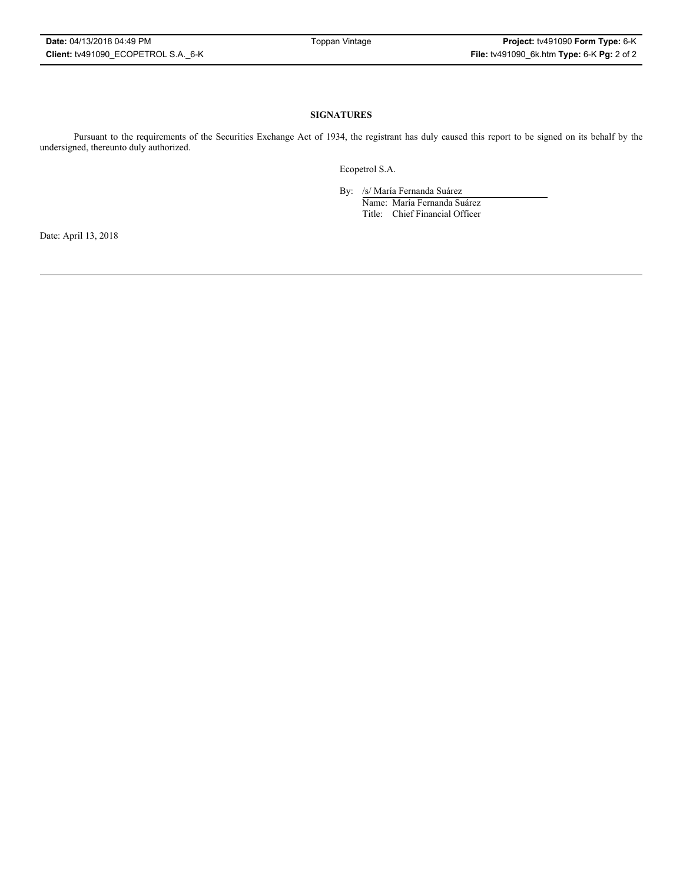### **SIGNATURES**

Pursuant to the requirements of the Securities Exchange Act of 1934, the registrant has duly caused this report to be signed on its behalf by the undersigned, thereunto duly authorized.

Ecopetrol S.A.

By: /s/ María Fernanda Suárez

Name: María Fernanda Suárez Title: Chief Financial Officer

Date: April 13, 2018